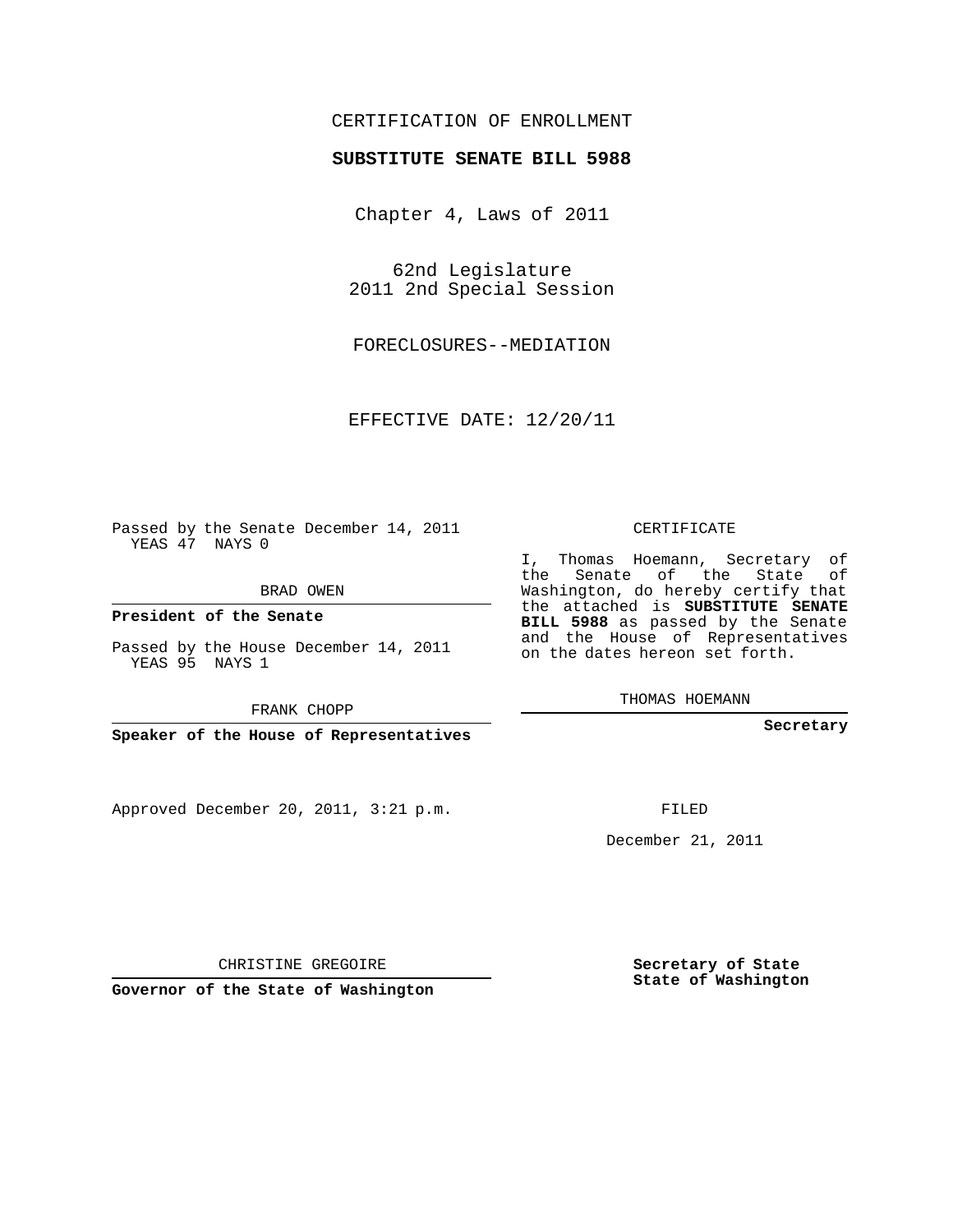## CERTIFICATION OF ENROLLMENT

## **SUBSTITUTE SENATE BILL 5988**

Chapter 4, Laws of 2011

62nd Legislature 2011 2nd Special Session

FORECLOSURES--MEDIATION

EFFECTIVE DATE: 12/20/11

Passed by the Senate December 14, 2011 YEAS 47 NAYS 0

BRAD OWEN

**President of the Senate**

Passed by the House December 14, 2011 YEAS 95 NAYS 1

FRANK CHOPP

**Speaker of the House of Representatives**

Approved December 20, 2011, 3:21 p.m.

CERTIFICATE

I, Thomas Hoemann, Secretary of the Senate of the State of Washington, do hereby certify that the attached is **SUBSTITUTE SENATE BILL 5988** as passed by the Senate and the House of Representatives on the dates hereon set forth.

THOMAS HOEMANN

**Secretary**

FILED

December 21, 2011

**Secretary of State State of Washington**

CHRISTINE GREGOIRE

**Governor of the State of Washington**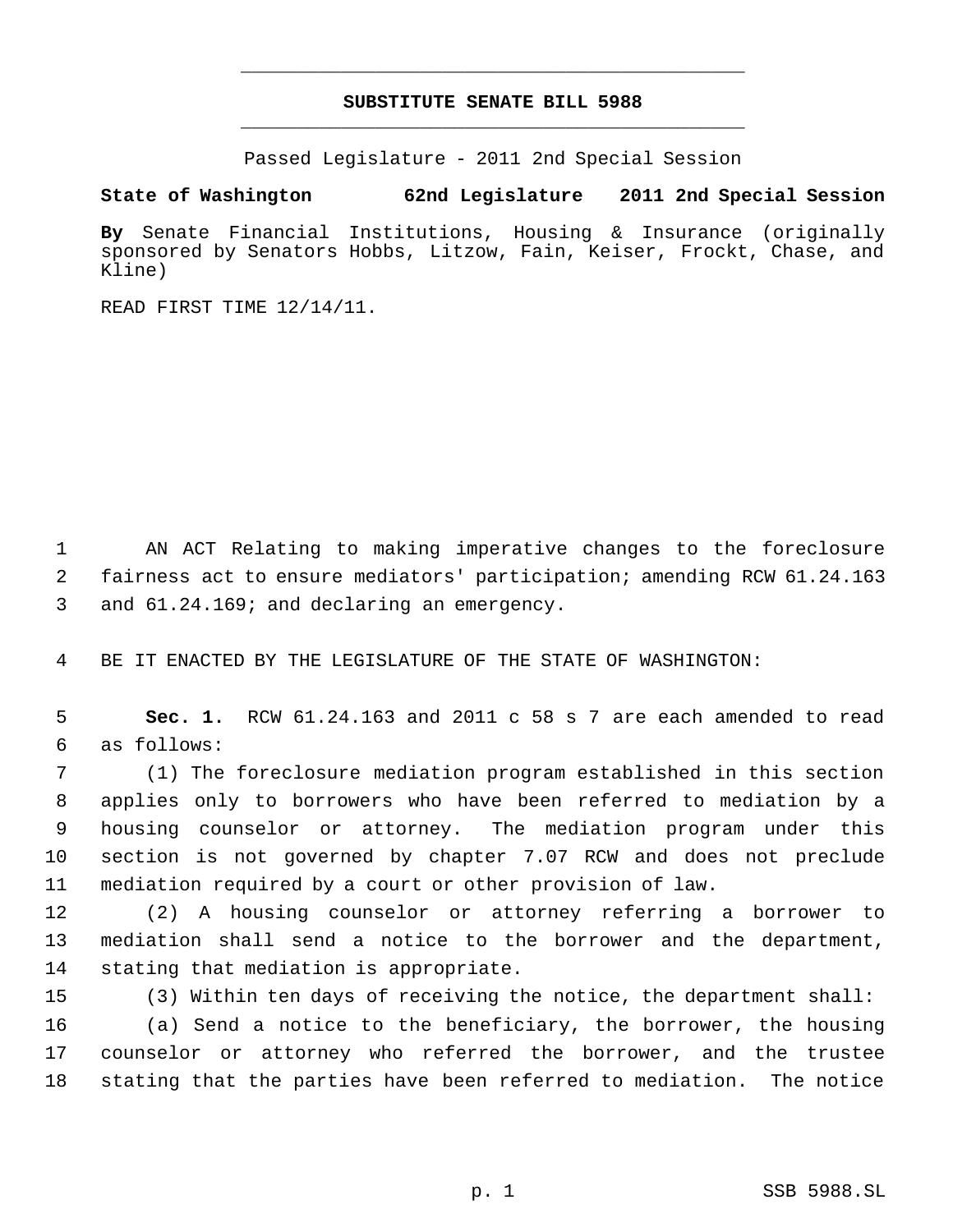## **SUBSTITUTE SENATE BILL 5988** \_\_\_\_\_\_\_\_\_\_\_\_\_\_\_\_\_\_\_\_\_\_\_\_\_\_\_\_\_\_\_\_\_\_\_\_\_\_\_\_\_\_\_\_\_

\_\_\_\_\_\_\_\_\_\_\_\_\_\_\_\_\_\_\_\_\_\_\_\_\_\_\_\_\_\_\_\_\_\_\_\_\_\_\_\_\_\_\_\_\_

Passed Legislature - 2011 2nd Special Session

## **State of Washington 62nd Legislature 2011 2nd Special Session**

**By** Senate Financial Institutions, Housing & Insurance (originally sponsored by Senators Hobbs, Litzow, Fain, Keiser, Frockt, Chase, and Kline)

READ FIRST TIME 12/14/11.

 AN ACT Relating to making imperative changes to the foreclosure fairness act to ensure mediators' participation; amending RCW 61.24.163 and 61.24.169; and declaring an emergency.

BE IT ENACTED BY THE LEGISLATURE OF THE STATE OF WASHINGTON:

 **Sec. 1.** RCW 61.24.163 and 2011 c 58 s 7 are each amended to read as follows:

 (1) The foreclosure mediation program established in this section applies only to borrowers who have been referred to mediation by a housing counselor or attorney. The mediation program under this section is not governed by chapter 7.07 RCW and does not preclude mediation required by a court or other provision of law.

 (2) A housing counselor or attorney referring a borrower to mediation shall send a notice to the borrower and the department, stating that mediation is appropriate.

(3) Within ten days of receiving the notice, the department shall:

 (a) Send a notice to the beneficiary, the borrower, the housing counselor or attorney who referred the borrower, and the trustee stating that the parties have been referred to mediation. The notice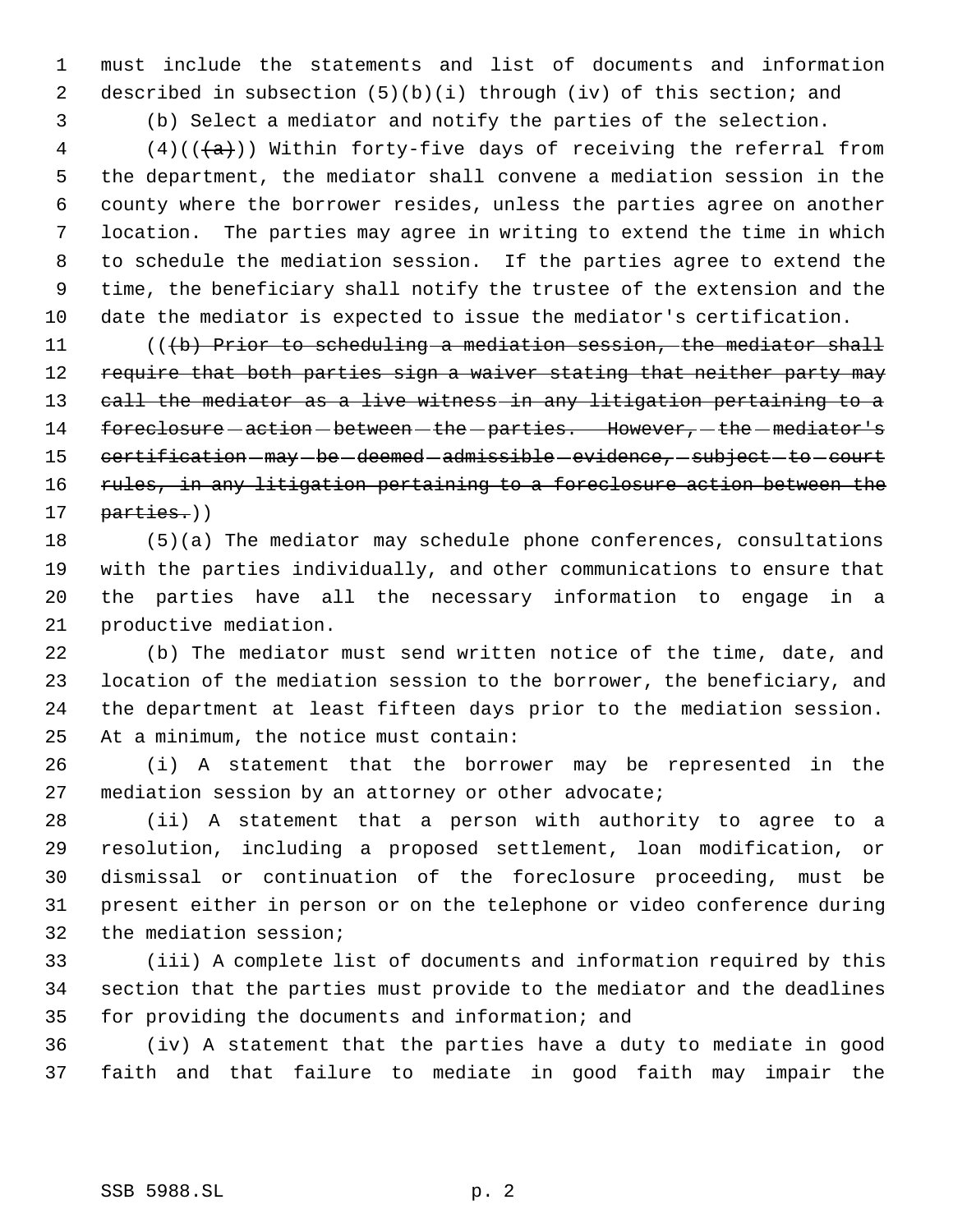must include the statements and list of documents and information described in subsection (5)(b)(i) through (iv) of this section; and

(b) Select a mediator and notify the parties of the selection.

 (4)(( $\left(\frac{1}{2}\right)$ ) Within forty-five days of receiving the referral from the department, the mediator shall convene a mediation session in the county where the borrower resides, unless the parties agree on another location. The parties may agree in writing to extend the time in which to schedule the mediation session. If the parties agree to extend the time, the beneficiary shall notify the trustee of the extension and the date the mediator is expected to issue the mediator's certification.

11 (((b) Prior to scheduling a mediation session, the mediator shall 12 require that both parties sign a waiver stating that neither party may call the mediator as a live witness in any litigation pertaining to a 14 foreclosure - action - between - the - parties. However, - the - mediator's 15 certification - may - be - deemed - admissible - evidence, - subject - to - court 16 rules, in any litigation pertaining to a foreclosure action between the 17 parties.))

 (5)(a) The mediator may schedule phone conferences, consultations with the parties individually, and other communications to ensure that the parties have all the necessary information to engage in a productive mediation.

 (b) The mediator must send written notice of the time, date, and location of the mediation session to the borrower, the beneficiary, and the department at least fifteen days prior to the mediation session. At a minimum, the notice must contain:

 (i) A statement that the borrower may be represented in the mediation session by an attorney or other advocate;

 (ii) A statement that a person with authority to agree to a resolution, including a proposed settlement, loan modification, or dismissal or continuation of the foreclosure proceeding, must be present either in person or on the telephone or video conference during the mediation session;

 (iii) A complete list of documents and information required by this section that the parties must provide to the mediator and the deadlines for providing the documents and information; and

 (iv) A statement that the parties have a duty to mediate in good faith and that failure to mediate in good faith may impair the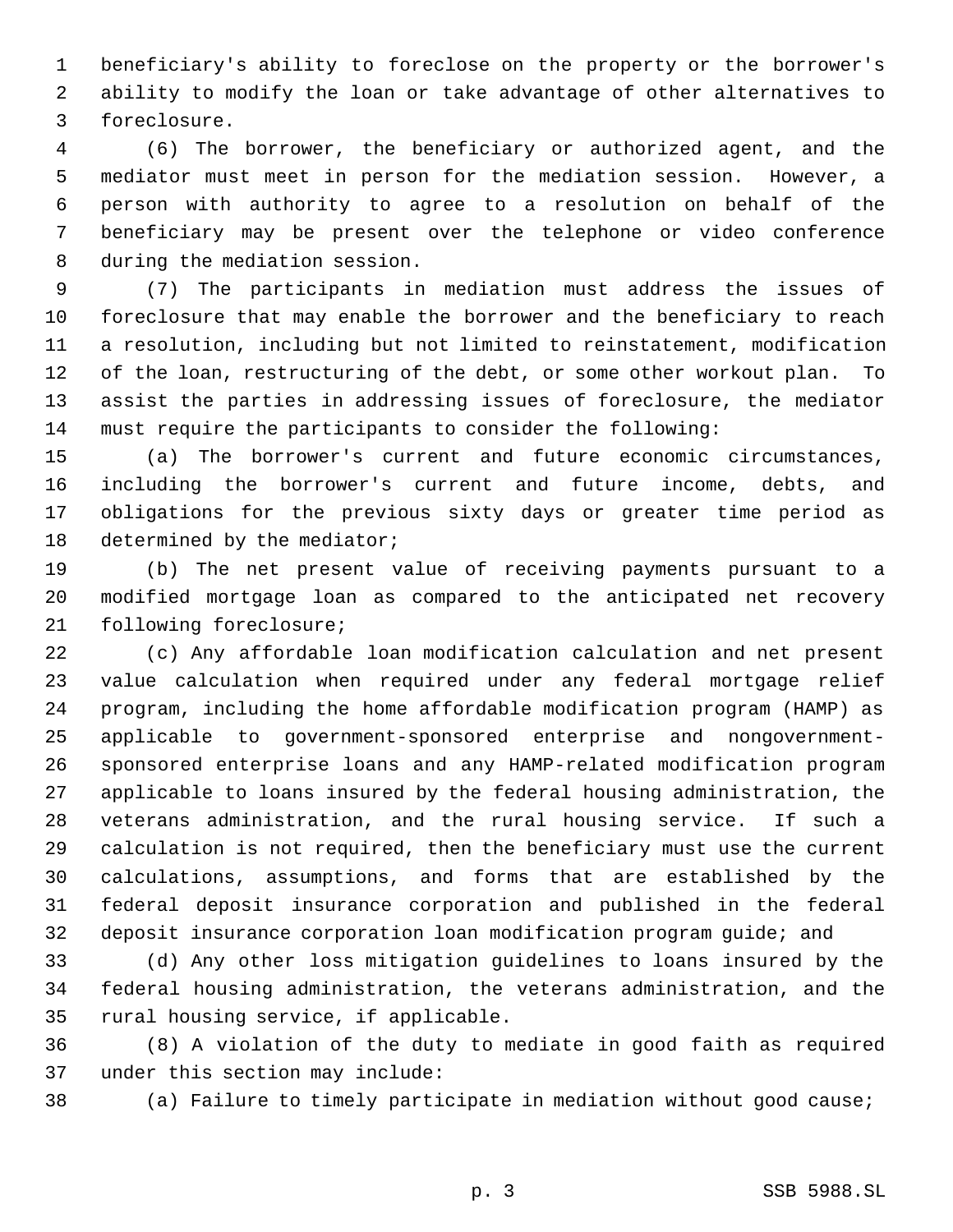beneficiary's ability to foreclose on the property or the borrower's ability to modify the loan or take advantage of other alternatives to foreclosure.

 (6) The borrower, the beneficiary or authorized agent, and the mediator must meet in person for the mediation session. However, a person with authority to agree to a resolution on behalf of the beneficiary may be present over the telephone or video conference during the mediation session.

 (7) The participants in mediation must address the issues of foreclosure that may enable the borrower and the beneficiary to reach a resolution, including but not limited to reinstatement, modification of the loan, restructuring of the debt, or some other workout plan. To assist the parties in addressing issues of foreclosure, the mediator must require the participants to consider the following:

 (a) The borrower's current and future economic circumstances, including the borrower's current and future income, debts, and obligations for the previous sixty days or greater time period as determined by the mediator;

 (b) The net present value of receiving payments pursuant to a modified mortgage loan as compared to the anticipated net recovery following foreclosure;

 (c) Any affordable loan modification calculation and net present value calculation when required under any federal mortgage relief program, including the home affordable modification program (HAMP) as applicable to government-sponsored enterprise and nongovernment- sponsored enterprise loans and any HAMP-related modification program applicable to loans insured by the federal housing administration, the veterans administration, and the rural housing service. If such a calculation is not required, then the beneficiary must use the current calculations, assumptions, and forms that are established by the federal deposit insurance corporation and published in the federal deposit insurance corporation loan modification program guide; and

 (d) Any other loss mitigation guidelines to loans insured by the federal housing administration, the veterans administration, and the rural housing service, if applicable.

 (8) A violation of the duty to mediate in good faith as required under this section may include:

(a) Failure to timely participate in mediation without good cause;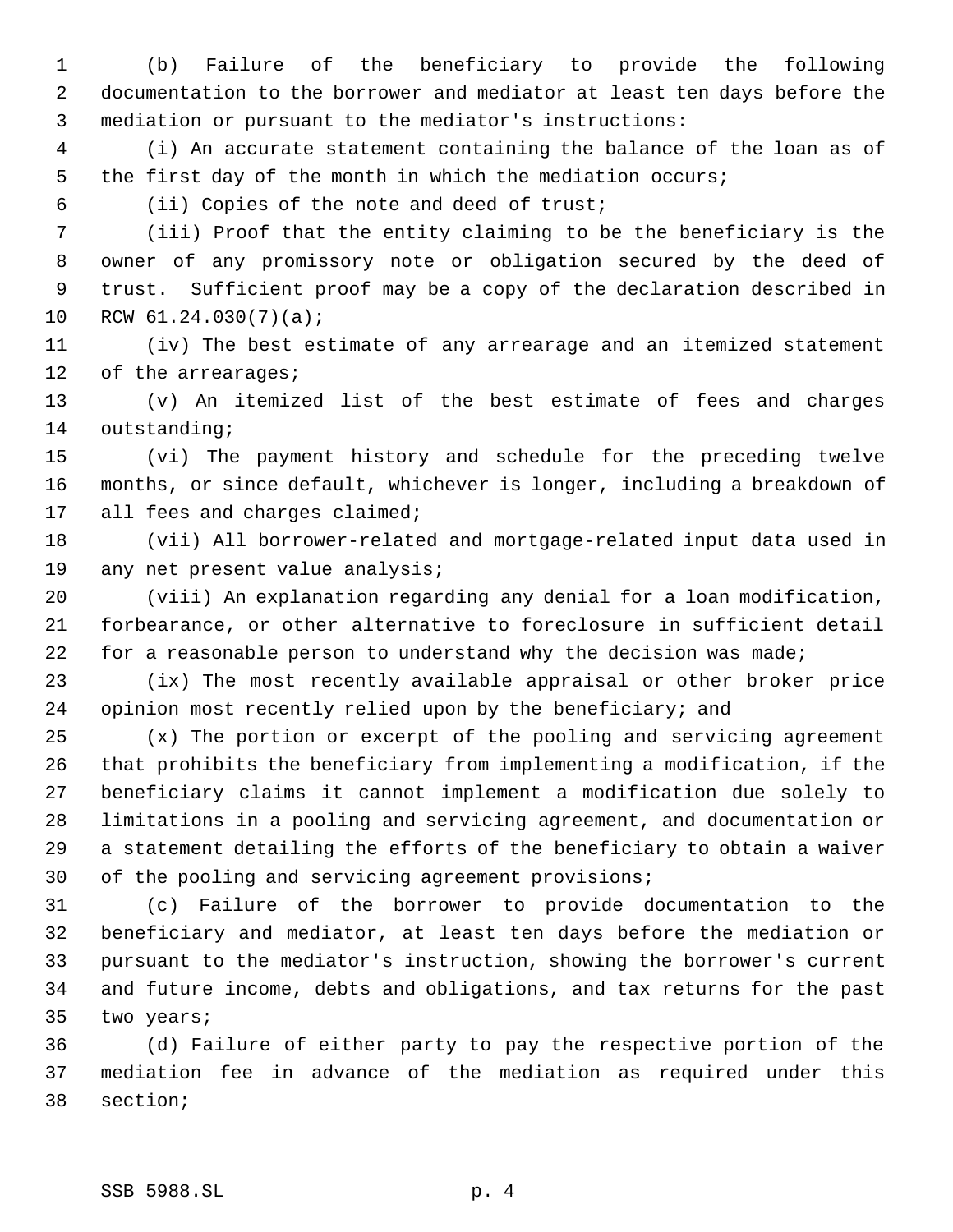(b) Failure of the beneficiary to provide the following documentation to the borrower and mediator at least ten days before the mediation or pursuant to the mediator's instructions:

 (i) An accurate statement containing the balance of the loan as of the first day of the month in which the mediation occurs;

(ii) Copies of the note and deed of trust;

 (iii) Proof that the entity claiming to be the beneficiary is the owner of any promissory note or obligation secured by the deed of trust. Sufficient proof may be a copy of the declaration described in RCW 61.24.030(7)(a);

 (iv) The best estimate of any arrearage and an itemized statement of the arrearages;

 (v) An itemized list of the best estimate of fees and charges outstanding;

 (vi) The payment history and schedule for the preceding twelve months, or since default, whichever is longer, including a breakdown of all fees and charges claimed;

 (vii) All borrower-related and mortgage-related input data used in any net present value analysis;

 (viii) An explanation regarding any denial for a loan modification, forbearance, or other alternative to foreclosure in sufficient detail 22 for a reasonable person to understand why the decision was made;

 (ix) The most recently available appraisal or other broker price opinion most recently relied upon by the beneficiary; and

 (x) The portion or excerpt of the pooling and servicing agreement that prohibits the beneficiary from implementing a modification, if the beneficiary claims it cannot implement a modification due solely to limitations in a pooling and servicing agreement, and documentation or a statement detailing the efforts of the beneficiary to obtain a waiver of the pooling and servicing agreement provisions;

 (c) Failure of the borrower to provide documentation to the beneficiary and mediator, at least ten days before the mediation or pursuant to the mediator's instruction, showing the borrower's current and future income, debts and obligations, and tax returns for the past two years;

 (d) Failure of either party to pay the respective portion of the mediation fee in advance of the mediation as required under this section;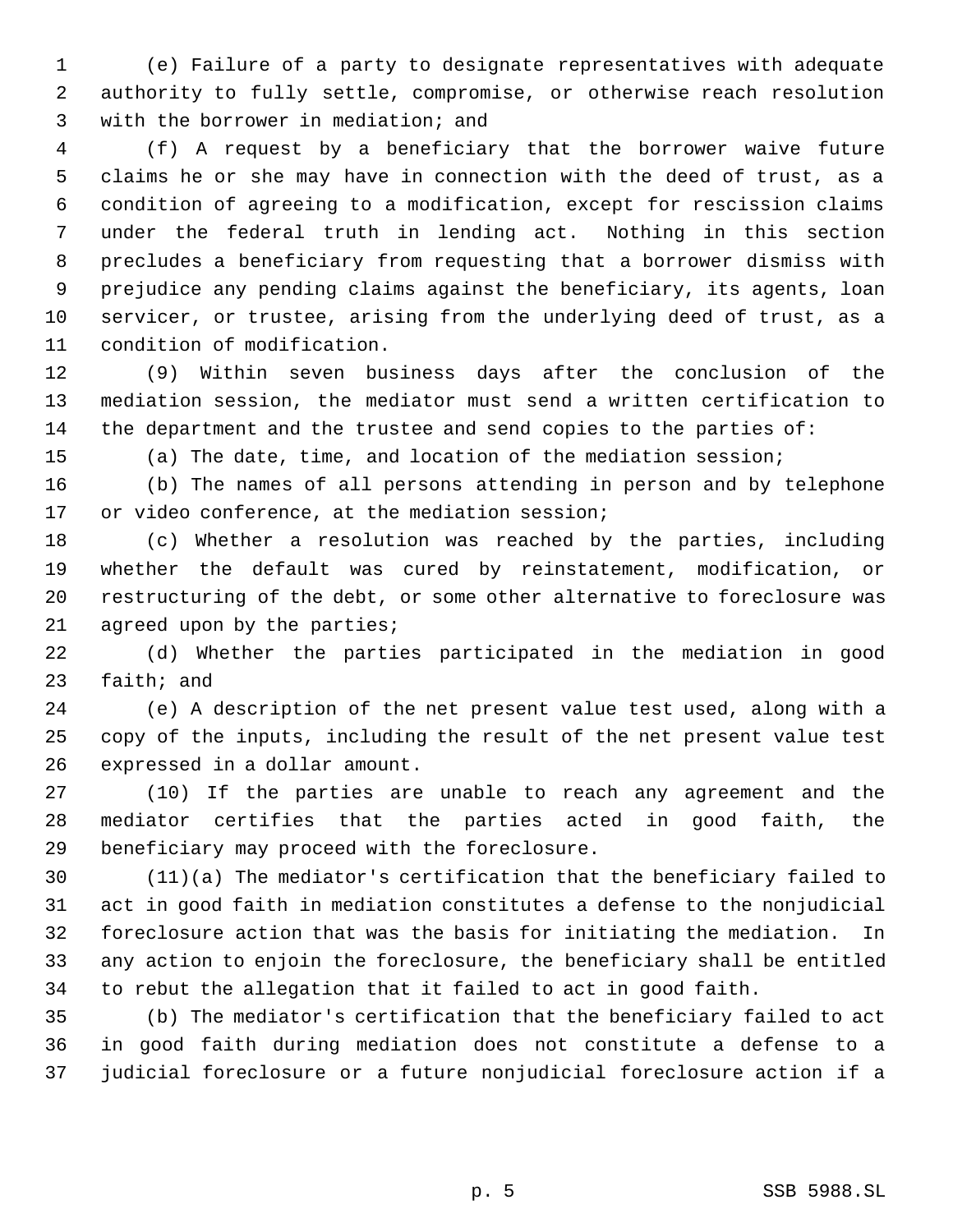(e) Failure of a party to designate representatives with adequate authority to fully settle, compromise, or otherwise reach resolution with the borrower in mediation; and

 (f) A request by a beneficiary that the borrower waive future claims he or she may have in connection with the deed of trust, as a condition of agreeing to a modification, except for rescission claims under the federal truth in lending act. Nothing in this section precludes a beneficiary from requesting that a borrower dismiss with prejudice any pending claims against the beneficiary, its agents, loan servicer, or trustee, arising from the underlying deed of trust, as a condition of modification.

 (9) Within seven business days after the conclusion of the mediation session, the mediator must send a written certification to the department and the trustee and send copies to the parties of:

(a) The date, time, and location of the mediation session;

 (b) The names of all persons attending in person and by telephone or video conference, at the mediation session;

 (c) Whether a resolution was reached by the parties, including whether the default was cured by reinstatement, modification, or restructuring of the debt, or some other alternative to foreclosure was 21 agreed upon by the parties;

 (d) Whether the parties participated in the mediation in good faith; and

 (e) A description of the net present value test used, along with a copy of the inputs, including the result of the net present value test expressed in a dollar amount.

 (10) If the parties are unable to reach any agreement and the mediator certifies that the parties acted in good faith, the beneficiary may proceed with the foreclosure.

 (11)(a) The mediator's certification that the beneficiary failed to act in good faith in mediation constitutes a defense to the nonjudicial foreclosure action that was the basis for initiating the mediation. In any action to enjoin the foreclosure, the beneficiary shall be entitled to rebut the allegation that it failed to act in good faith.

 (b) The mediator's certification that the beneficiary failed to act in good faith during mediation does not constitute a defense to a judicial foreclosure or a future nonjudicial foreclosure action if a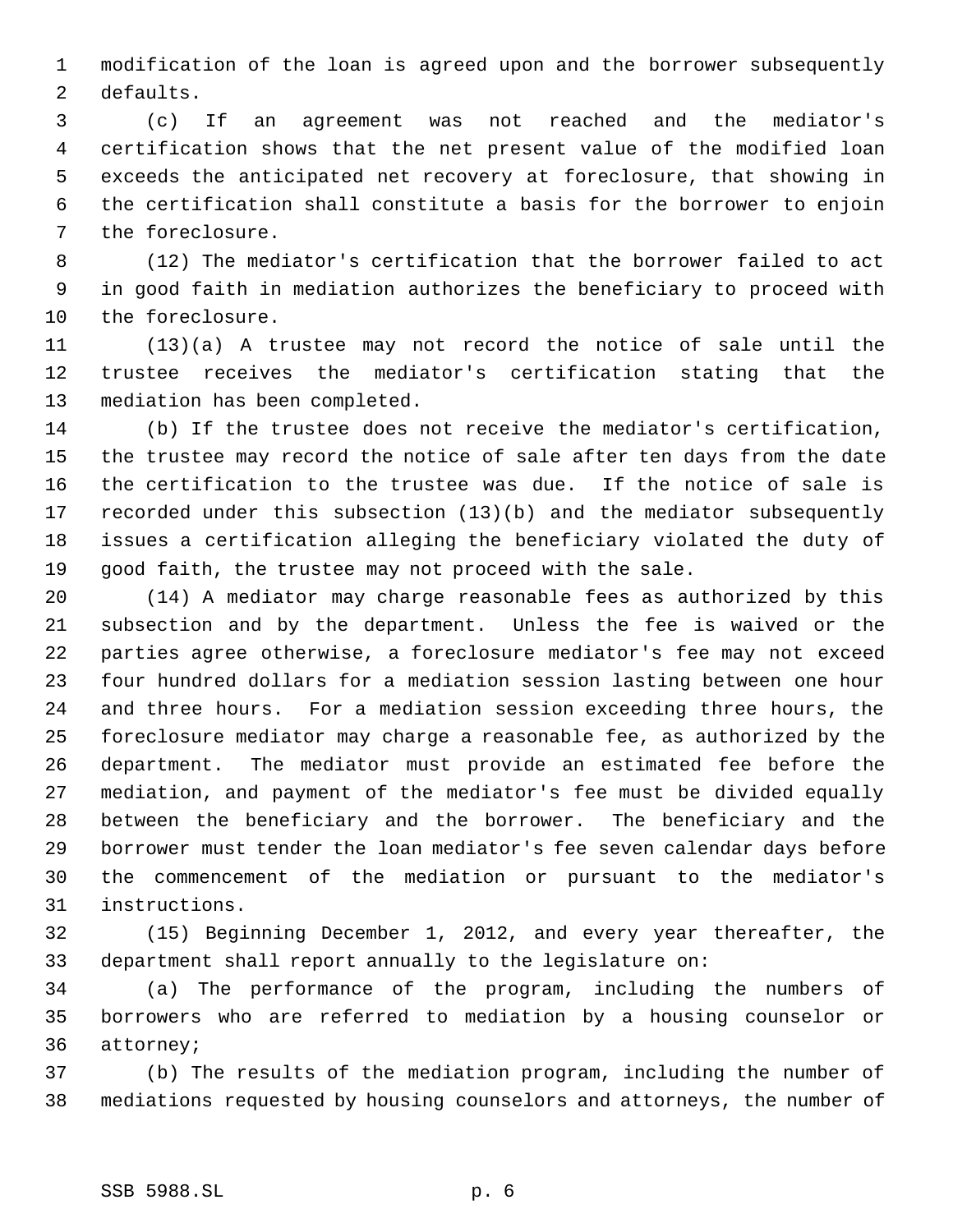modification of the loan is agreed upon and the borrower subsequently defaults.

 (c) If an agreement was not reached and the mediator's certification shows that the net present value of the modified loan exceeds the anticipated net recovery at foreclosure, that showing in the certification shall constitute a basis for the borrower to enjoin the foreclosure.

 (12) The mediator's certification that the borrower failed to act in good faith in mediation authorizes the beneficiary to proceed with the foreclosure.

 (13)(a) A trustee may not record the notice of sale until the trustee receives the mediator's certification stating that the mediation has been completed.

 (b) If the trustee does not receive the mediator's certification, the trustee may record the notice of sale after ten days from the date the certification to the trustee was due. If the notice of sale is recorded under this subsection (13)(b) and the mediator subsequently issues a certification alleging the beneficiary violated the duty of good faith, the trustee may not proceed with the sale.

 (14) A mediator may charge reasonable fees as authorized by this subsection and by the department. Unless the fee is waived or the parties agree otherwise, a foreclosure mediator's fee may not exceed four hundred dollars for a mediation session lasting between one hour and three hours. For a mediation session exceeding three hours, the foreclosure mediator may charge a reasonable fee, as authorized by the department. The mediator must provide an estimated fee before the mediation, and payment of the mediator's fee must be divided equally between the beneficiary and the borrower. The beneficiary and the borrower must tender the loan mediator's fee seven calendar days before the commencement of the mediation or pursuant to the mediator's instructions.

 (15) Beginning December 1, 2012, and every year thereafter, the department shall report annually to the legislature on:

 (a) The performance of the program, including the numbers of borrowers who are referred to mediation by a housing counselor or attorney;

 (b) The results of the mediation program, including the number of mediations requested by housing counselors and attorneys, the number of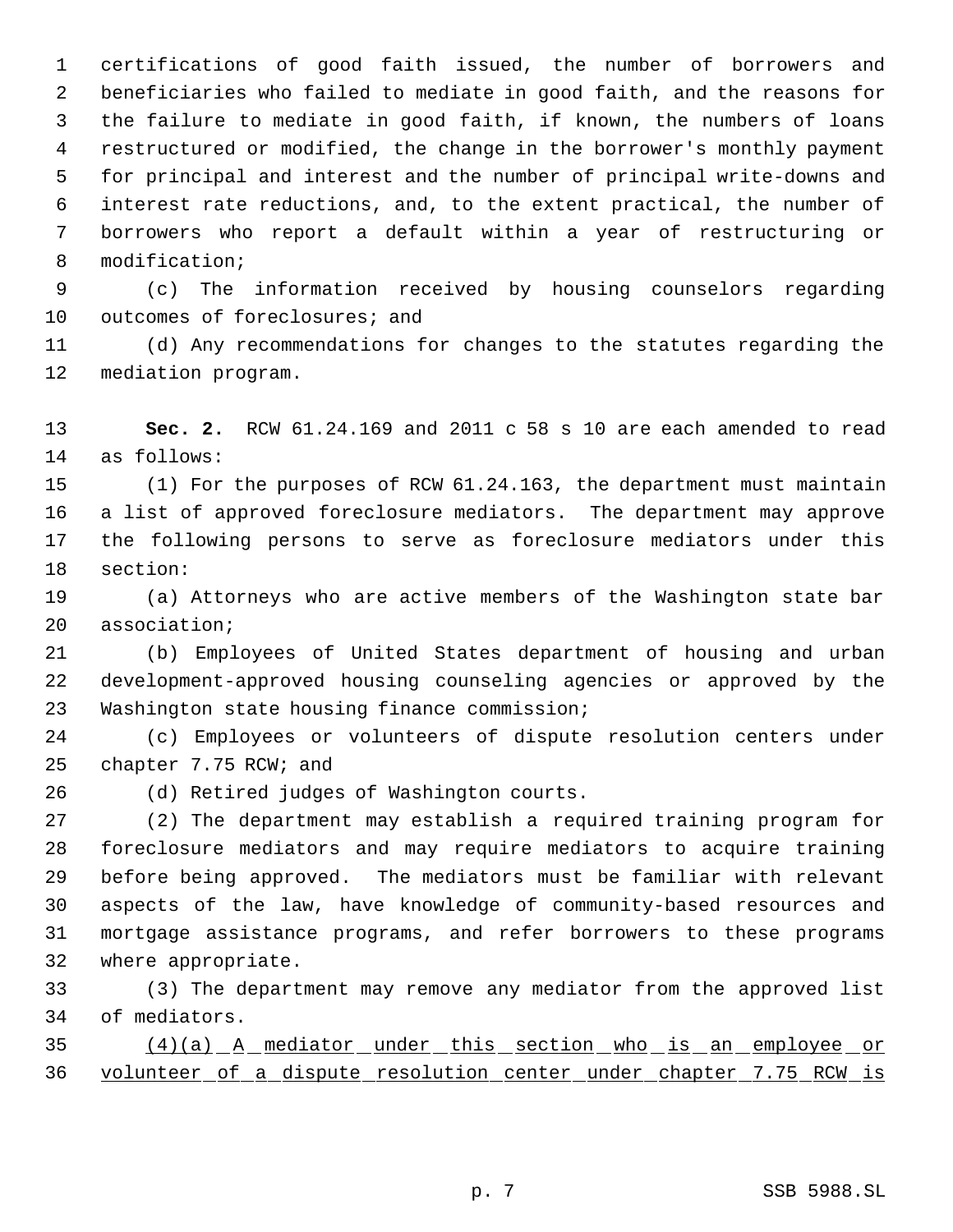certifications of good faith issued, the number of borrowers and beneficiaries who failed to mediate in good faith, and the reasons for the failure to mediate in good faith, if known, the numbers of loans restructured or modified, the change in the borrower's monthly payment for principal and interest and the number of principal write-downs and interest rate reductions, and, to the extent practical, the number of borrowers who report a default within a year of restructuring or modification;

 (c) The information received by housing counselors regarding 10 outcomes of foreclosures; and

 (d) Any recommendations for changes to the statutes regarding the mediation program.

 **Sec. 2.** RCW 61.24.169 and 2011 c 58 s 10 are each amended to read as follows:

 (1) For the purposes of RCW 61.24.163, the department must maintain a list of approved foreclosure mediators. The department may approve the following persons to serve as foreclosure mediators under this section:

 (a) Attorneys who are active members of the Washington state bar association;

 (b) Employees of United States department of housing and urban development-approved housing counseling agencies or approved by the Washington state housing finance commission;

 (c) Employees or volunteers of dispute resolution centers under chapter 7.75 RCW; and

(d) Retired judges of Washington courts.

 (2) The department may establish a required training program for foreclosure mediators and may require mediators to acquire training before being approved. The mediators must be familiar with relevant aspects of the law, have knowledge of community-based resources and mortgage assistance programs, and refer borrowers to these programs where appropriate.

 (3) The department may remove any mediator from the approved list of mediators.

 (4)(a) A mediator under this section who is an employee or volunteer of a dispute resolution center under chapter 7.75 RCW is